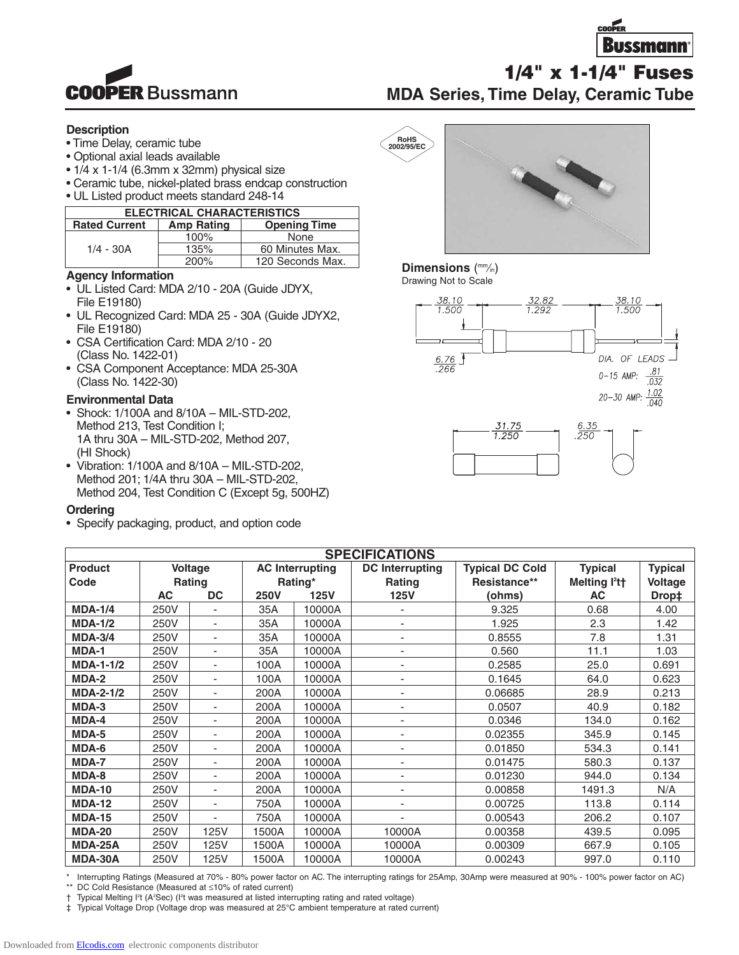

**COOPER Bussmann** 

## **1/4" x 1-1/4" Fuses MDA Series, Time Delay, Ceramic Tube**

### **Description**

- Time Delay, ceramic tube
- Optional axial leads available
- $\cdot$  1/4 x 1-1/4 (6.3mm x 32mm) physical size
- Ceramic tube, nickel-plated brass endcap construction
- UL Listed product meets standard 248-14

| <b>ELECTRICAL CHARACTERISTICS</b> |                   |                     |  |  |  |
|-----------------------------------|-------------------|---------------------|--|--|--|
| <b>Rated Current</b>              | <b>Amp Rating</b> | <b>Opening Time</b> |  |  |  |
| $1/4 - 30A$                       | 100%              | None                |  |  |  |
|                                   | 135%              | 60 Minutes Max.     |  |  |  |
|                                   | 200%              | 120 Seconds Max.    |  |  |  |

### **Agency Information**

- UL Listed Card: MDA 2/10 20A (Guide JDYX, File E19180)
- UL Recognized Card: MDA 25 30A (Guide JDYX2, File E19180)
- CSA Certification Card: MDA 2/10 20 (Class No. 1422-01)
- CSA Component Acceptance: MDA 25-30A (Class No. 1422-30)

### **Environmental Data**

- Shock: 1/100A and 8/10A MIL-STD-202, Method 213, Test Condition I; 1A thru 30A – MIL-STD-202, Method 207, (HI Shock)
- Vibration: 1/100A and 8/10A MIL-STD-202, Method 201; 1/4A thru 30A – MIL-STD-202, Method 204, Test Condition C (Except 5g, 500HZ)

### **Ordering**

• Specify packaging, product, and option code



### Dimensions (mm/in)

Drawing Not to Scale





| <b>SPECIFICATIONS</b> |                |                          |                        |             |                          |                        |                                       |                |  |
|-----------------------|----------------|--------------------------|------------------------|-------------|--------------------------|------------------------|---------------------------------------|----------------|--|
| <b>Product</b>        | <b>Voltage</b> |                          | <b>AC Interrupting</b> |             | <b>DC</b> Interrupting   | <b>Typical DC Cold</b> | <b>Typical</b>                        | <b>Typical</b> |  |
| Code                  |                | <b>Rating</b>            |                        | Rating*     | Rating                   | Resistance**           | Melting l <sup>2</sup> t <sup>+</sup> | Voltage        |  |
|                       | AC             | <b>DC</b>                | <b>250V</b>            | <b>125V</b> | <b>125V</b>              | (ohms)                 | AC                                    | Drop‡          |  |
| <b>MDA-1/4</b>        | 250V           |                          | 35A                    | 10000A      |                          | 9.325                  | 0.68                                  | 4.00           |  |
| <b>MDA-1/2</b>        | 250V           | $\overline{\phantom{a}}$ | 35A                    | 10000A      |                          | 1.925                  | 2.3                                   | 1.42           |  |
| <b>MDA-3/4</b>        | 250V           | $\overline{\phantom{a}}$ | 35A                    | 10000A      | ٠                        | 0.8555                 | 7.8                                   | 1.31           |  |
| MDA-1                 | 250V           | ٠                        | 35A                    | 10000A      | ٠                        | 0.560                  | 11.1                                  | 1.03           |  |
| <b>MDA-1-1/2</b>      | 250V           | ٠                        | 100A                   | 10000A      | ٠                        | 0.2585                 | 25.0                                  | 0.691          |  |
| MDA-2                 | 250V           | $\blacksquare$           | 100A                   | 10000A      | $\overline{\phantom{a}}$ | 0.1645                 | 64.0                                  | 0.623          |  |
| <b>MDA-2-1/2</b>      | 250V           | $\overline{\phantom{a}}$ | 200A                   | 10000A      | ٠                        | 0.06685                | 28.9                                  | 0.213          |  |
| MDA-3                 | 250V           | ٠                        | 200A                   | 10000A      | ٠                        | 0.0507                 | 40.9                                  | 0.182          |  |
| MDA-4                 | 250V           | $\overline{\phantom{a}}$ | 200A                   | 10000A      | $\overline{\phantom{a}}$ | 0.0346                 | 134.0                                 | 0.162          |  |
| MDA-5                 | 250V           | $\overline{\phantom{a}}$ | 200A                   | 10000A      |                          | 0.02355                | 345.9                                 | 0.145          |  |
| MDA-6                 | 250V           | ٠                        | 200A                   | 10000A      |                          | 0.01850                | 534.3                                 | 0.141          |  |
| MDA-7                 | 250V           | ٠                        | 200A                   | 10000A      | ٠                        | 0.01475                | 580.3                                 | 0.137          |  |
| MDA-8                 | 250V           | $\overline{\phantom{a}}$ | 200A                   | 10000A      | ٠                        | 0.01230                | 944.0                                 | 0.134          |  |
| <b>MDA-10</b>         | 250V           | ٠                        | 200A                   | 10000A      | $\overline{a}$           | 0.00858                | 1491.3                                | N/A            |  |
| <b>MDA-12</b>         | 250V           | ٠                        | 750A                   | 10000A      |                          | 0.00725                | 113.8                                 | 0.114          |  |
| <b>MDA-15</b>         | 250V           | ٠                        | 750A                   | 10000A      |                          | 0.00543                | 206.2                                 | 0.107          |  |
| <b>MDA-20</b>         | 250V           | 125V                     | 1500A                  | 10000A      | 10000A                   | 0.00358                | 439.5                                 | 0.095          |  |
| <b>MDA-25A</b>        | 250V           | 125V                     | 1500A                  | 10000A      | 10000A                   | 0.00309                | 667.9                                 | 0.105          |  |
| <b>MDA-30A</b>        | 250V           | 125V                     | 1500A                  | 10000A      | 10000A                   | 0.00243                | 997.0                                 | 0.110          |  |

\* Interrupting Ratings (Measured at 70% - 80% power factor on AC. The interrupting ratings for 25Amp, 30Amp were measured at 90% - 100% power factor on AC)<br>\*\* DC Cold Besistance (Measured at <10% of rated current) DC Cold Resistance (Measured at ≤10% of rated current)

† Typical Melting I2 t (A2 Sec) (I2 t was measured at listed interrupting rating and rated voltage)

‡ Typical Voltage Drop (Voltage drop was measured at 25°C ambient temperature at rated current)